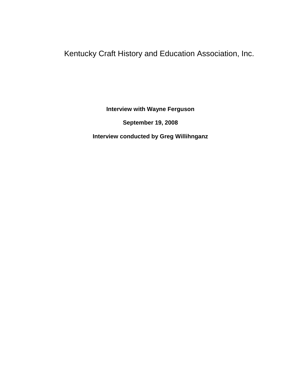Kentucky Craft History and Education Association, Inc.

**Interview with Wayne Ferguson**

**September 19, 2008**

**Interview conducted by Greg Willihnganz**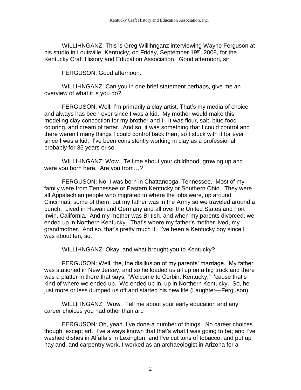WILLIHNGANZ: This is Greg Willihnganz interviewing Wayne Ferguson at his studio in Louisville, Kentucky, on Friday, September 19<sup>th</sup>, 2008, for the Kentucky Craft History and Education Association. Good afternoon, sir.

FERGUSON: Good afternoon.

WILLIHNGANZ: Can you in one brief statement perhaps, give me an overview of what it is you do?

FERGUSON: Well, I'm primarily a clay artist. That's my media of choice and always has been ever since I was a kid. My mother would make this modeling clay concoction for my brother and I. It was flour, salt, blue food coloring, and cream of tartar. And so, it was something that I could control and there weren't many things I could control back then, so I stuck with it for ever since I was a kid. I've been consistently working in clay as a professional probably for 35 years or so.

WILLIHNGANZ: Wow. Tell me about your childhood, growing up and were you born here. Are you from…?

FERGUSON: No. I was born in Chattanooga, Tennessee. Most of my family were from Tennessee or Eastern Kentucky or Southern Ohio. They were all Appalachian people who migrated to where the jobs were, up around Cincinnati, some of them, but my father was in the Army so we traveled around a bunch. Lived in Hawaii and Germany and all over the United States and Fort Irwin, California. And my mother was British, and when my parents divorced, we ended up in Northern Kentucky. That's where my father's mother lived, my grandmother. And so, that's pretty much it. I've been a Kentucky boy since I was about ten, so.

WILLIHNGANZ: Okay, and what brought you to Kentucky?

FERGUSON: Well, the, the disillusion of my parents' marriage. My father was stationed in New Jersey, and so he loaded us all up on a big truck and there was a platter in there that says, "Welcome to Corbin, Kentucky," 'cause that's kind of where we ended up. We ended up in, up in Northern Kentucky. So, he just more or less dumped us off and started his new life (Laughter—Ferguson).

WILLIHNGANZ: Wow. Tell me about your early education and any career choices you had other than art.

FERGUSON: Oh, yeah. I've done a number of things. No career choices though, except art. I've always known that that's what I was going to be; and I've washed dishes in Alfalfa's in Lexington, and I've cut tons of tobacco, and put up hay and, and carpentry work. I worked as an archaeologist in Arizona for a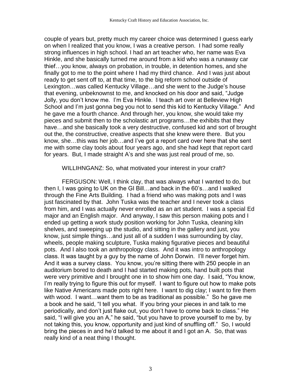couple of years but, pretty much my career choice was determined I guess early on when I realized that you know, I was a creative person. I had some really strong influences in high school. I had an art teacher who, her name was Eva Hinkle, and she basically turned me around from a kid who was a runaway car thief…you know, always on probation, in trouble, in detention homes, and she finally got to me to the point where I had my third chance. And I was just about ready to get sent off to, at that time, to the big reform school outside of Lexington…was called Kentucky Village…and she went to the Judge's house that evening, unbeknownst to me, and knocked on his door and said, "Judge Jolly, you don't know me. I'm Eva Hinkle. I teach art over at Belleview High School and I'm just gonna beg you not to send this kid to Kentucky Village." And he gave me a fourth chance. And through her, you know, she would take my pieces and submit then to the scholastic art programs…the exhibits that they have…and she basically took a very destructive, confused kid and sort of brought out the, the constructive, creative aspects that she knew were there. But you know, she…this was her job…and I've got a report card over here that she sent me with some clay tools about four years ago, and she had kept that report card for years. But, I made straight A's and she was just real proud of me, so.

WILLIHNGANZ: So, what motivated your interest in your craft?

FERGUSON: Well, I think clay, that was always what I wanted to do, but then I, I was going to UK on the GI Bill…and back in the 60's…and I walked through the Fine Arts Building. I had a friend who was making pots and I was just fascinated by that. John Tuska was the teacher and I never took a class from him, and I was actually never enrolled as an art student. I was a special Ed major and an English major. And anyway, I saw this person making pots and I ended up getting a work study position working for John Tuska, cleaning kiln shelves, and sweeping up the studio, and sitting in the gallery and just, you know, just simple things…and just all of a sudden I was surrounding by clay, wheels, people making sculpture, Tuska making figurative pieces and beautiful pots. And I also took an anthropology class. And it was intro to anthropology class. It was taught by a guy by the name of John Dorwin. I'll never forget him. And it was a survey class. You know, you're sitting there with 250 people in an auditorium bored to death and I had started making pots, hand built pots that were very primitive and I brought one in to show him one day. I said, "You know, I'm really trying to figure this out for myself. I want to figure out how to make pots like Native Americans made pots right here. I want to dig clay; I want to fire them with wood. I want…want them to be as traditional as possible." So he gave me a book and he said, "I tell you what. If you bring your pieces in and talk to me periodically, and don't just flake out, you don't have to come back to class." He said, "I will give you an A," he said, "but you have to prove yourself to me by, by not taking this, you know, opportunity and just kind of snuffling off." So, I would bring the pieces in and he'd talked to me about it and I got an A. So, that was really kind of a neat thing I thought.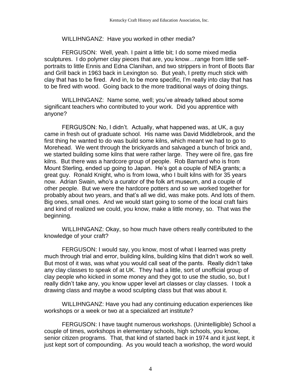# WILLIHNGANZ: Have you worked in other media?

FERGUSON: Well, yeah. I paint a little bit; I do some mixed media sculptures. I do polymer clay pieces that are, you know…range from little selfportraits to little Ennis and Edna Clanihan, and two strippers in front of Boots Bar and Grill back in 1963 back in Lexington so. But yeah, I pretty much stick with clay that has to be fired. And in, to be more specific, I'm really into clay that has to be fired with wood. Going back to the more traditional ways of doing things.

WILLIHNGANZ: Name some, well; you've already talked about some significant teachers who contributed to your work. Did you apprentice with anyone?

FERGUSON: No, I didn't. Actually, what happened was, at UK, a guy came in fresh out of graduate school. His name was David Middlebrook, and the first thing he wanted to do was build some kilns, which meant we had to go to Morehead. We went through the brickyards and salvaged a bunch of brick and, we started building some kilns that were rather large. They were oil fire, gas fire kilns. But there was a hardcore group of people. Rob Barnard who is from Mount Sterling, ended up going to Japan. He's got a couple of NEA grants; a great guy. Ronald Knight, who is from Iowa, who I built kilns with for 35 years now. Adrian Swain, who's a curator of the folk art museum, and a couple of other people. But we were the hardcore potters and so we worked together for probably about two years, and that's all we did, was make pots. And lots of them. Big ones, small ones. And we would start going to some of the local craft fairs and kind of realized we could, you know, make a little money, so. That was the beginning.

WILLIHNGANZ: Okay, so how much have others really contributed to the knowledge of your craft?

FERGUSON: I would say, you know, most of what I learned was pretty much through trial and error, building kilns, building kilns that didn't work so well. But most of it was, was what you would call seat of the pants. Really didn't take any clay classes to speak of at UK. They had a little, sort of unofficial group of clay people who kicked in some money and they got to use the studio, so, but I really didn't take any, you know upper level art classes or clay classes. I took a drawing class and maybe a wood sculpting class but that was about it.

WILLIHNGANZ: Have you had any continuing education experiences like workshops or a week or two at a specialized art institute?

FERGUSON: I have taught numerous workshops. (Unintelligible) School a couple of times, workshops in elementary schools, high schools, you know, senior citizen programs. That, that kind of started back in 1974 and it just kept, it just kept sort of compounding. As you would teach a workshop, the word would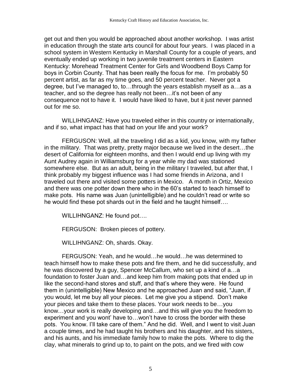get out and then you would be approached about another workshop. I was artist in education through the state arts council for about four years. I was placed in a school system in Western Kentucky in Marshall County for a couple of years, and eventually ended up working in two juvenile treatment centers in Eastern Kentucky: Morehead Treatment Center for Girls and Woodbend Boys Camp for boys in Corbin County. That has been really the focus for me. I'm probably 50 percent artist, as far as my time goes, and 50 percent teacher. Never got a degree, but I've managed to, to…through the years establish myself as a…as a teacher, and so the degree has really not been…it's not been of any consequence not to have it. I would have liked to have, but it just never panned out for me so.

WILLIHNGANZ: Have you traveled either in this country or internationally, and if so, what impact has that had on your life and your work?

FERGUSON: Well, all the traveling I did as a kid, you know, with my father in the military. That was pretty, pretty major because we lived in the desert…the desert of California for eighteen months, and then I would end up living with my Aunt Audrey again in Williamsburg for a year while my dad was stationed somewhere else. But as an adult, being in the military I traveled, but after that, I think probably my biggest influence was I had some friends in Arizona, and I traveled out there and visited some potters in Mexico. A month in Ortiz, Mexico and there was one potter down there who in the 60's started to teach himself to make pots. His name was Juan (unintelligible) and he couldn't read or write so he would find these pot shards out in the field and he taught himself….

WILLIHNGANZ: He found pot….

FERGUSON: Broken pieces of pottery.

WILLIHNGANZ: Oh, shards. Okay.

FERGUSON: Yeah, and he would…he would…he was determined to teach himself how to make these pots and fire them, and he did successfully, and he was discovered by a guy, Spencer McCallum, who set up a kind of a…a foundation to foster Juan and…and keep him from making pots that ended up in like the second-hand stores and stuff, and that's where they were. He found them in (unintelligible) New Mexico and he approached Juan and said, "Juan, if you would, let me buy all your pieces. Let me give you a stipend. Don't make your pieces and take them to these places. Your work needs to be…you know…your work is really developing and…and this will give you the freedom to experiment and you wont' have to…won't have to cross the border with these pots. You know. I'll take care of them." And he did. Well, and I went to visit Juan a couple times, and he had taught his brothers and his daughter, and his sisters, and his aunts, and his immediate family how to make the pots. Where to dig the clay, what minerals to grind up to, to paint on the pots, and we fired with cow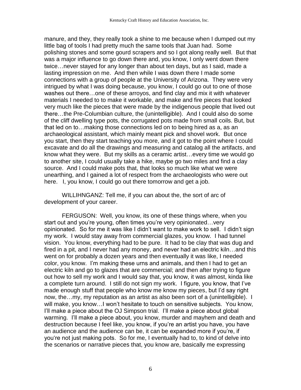manure, and they, they really took a shine to me because when I dumped out my little bag of tools I had pretty much the same tools that Juan had. Some polishing stones and some gourd scrapers and so I got along really well. But that was a major influence to go down there and, you know, I only went down there twice…never stayed for any longer than about ten days, but as I said, made a lasting impression on me. And then while I was down there I made some connections with a group of people at the University of Arizona. They were very intrigued by what I was doing because, you know, I could go out to one of those washes out there…one of these arroyos, and find clay and mix it with whatever materials I needed to to make it workable, and make and fire pieces that looked very much like the pieces that were made by the indigenous people that lived out there…the Pre-Columbian culture, the (unintelligible). And I could also do some of the cliff dwelling type pots, the corrugated pots made from small coils. But, but that led on to…making those connections led on to being hired as a, as an archaeological assistant, which mainly meant pick and shovel work. But once you start, then they start teaching you more, and it got to the point where I could excavate and do all the drawings and measuring and catalog all the artifacts, and know what they were. But my skills as a ceramic artist…every time we would go to another site, I could usually take a hike, maybe go two miles and find a clay source. And I could make pots that, that looks so much like what we were unearthing, and I gained a lot of respect from the archaeologists who were out here. I, you know, I could go out there tomorrow and get a job.

WILLIHNGANZ: Tell me, if you can about the, the sort of arc of development of your career.

FERGUSON: Well, you know, its one of these things where, when you start out and you're young, often times you're very opinionated…very opinionated. So for me it was like I didn't want to make work to sell. I didn't sign my work. I would stay away from commercial glazes, you know. I had tunnel vision. You know, everything had to be pure. It had to be clay that was dug and fired in a pit, and I never had any money, and never had an electric kiln…and this went on for probably a dozen years and then eventually it was like, I needed color, you know. I'm making these urns and animals, and then I had to get an electric kiln and go to glazes that are commercial; and then after trying to figure out how to sell my work and I would say that, you know, it was almost, kinda like a complete turn around. I still do not sign my work. I figure, you know, that I've made enough stuff that people who know me know my pieces, but I'd say right now, the…my, my reputation as an artist as also been sort of a (unintelligible). I will make, you know…I won't hesitate to touch on sensitive subjects. You know, I'll make a piece about the OJ Simpson trial. I'll make a piece about global warming. I'll make a piece about, you know, murder and mayhem and death and destruction because I feel like, you know, if you're an artist you have, you have an audience and the audience can be, it can be expanded more if you're, if you're not just making pots. So for me, I eventually had to, to kind of delve into the scenarios or narrative pieces that, you know are, basically me expressing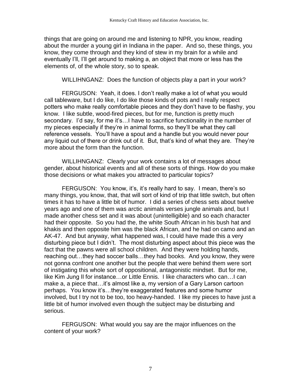things that are going on around me and listening to NPR, you know, reading about the murder a young girl in Indiana in the paper. And so, these things, you know, they come through and they kind of stew in my brain for a while and eventually I'll, I'll get around to making a, an object that more or less has the elements of, of the whole story, so to speak.

WILLIHNGANZ: Does the function of objects play a part in your work?

FERGUSON: Yeah, it does. I don't really make a lot of what you would call tableware, but I do like, I do like those kinds of pots and I really respect potters who make really comfortable pieces and they don't have to be flashy, you know. I like subtle, wood-fired pieces, but for me, function is pretty much secondary. I'd say, for me it's…I have to sacrifice functionality in the number of my pieces especially if they're in animal forms, so they'll be what they call reference vessels. You'll have a spout and a handle but you would never pour any liquid out of there or drink out of it. But, that's kind of what they are. They're more about the form than the function.

WILLIHNGANZ: Clearly your work contains a lot of messages about gender, about historical events and all of these sorts of things. How do you make those decisions or what makes you attracted to particular topics?

FERGUSON: You know, it's, it's really hard to say. I mean, there's so many things, you know, that, that will sort of kind of trip that little switch, but often times it has to have a little bit of humor. I did a series of chess sets about twelve years ago and one of them was arctic animals verses jungle animals and, but I made another chess set and it was about (unintelligible) and so each character had their opposite. So you had the, the white South African in his bush hat and khakis and then opposite him was the black African, and he had on camo and an AK-47. And but anyway, what happened was, I could have made this a very disturbing piece but I didn't. The most disturbing aspect about this piece was the fact that the pawns were all school children. And they were holding hands, reaching out…they had soccer balls…they had books. And you know, they were not gonna confront one another but the people that were behind them were sort of instigating this whole sort of oppositional, antagonistic mindset. But for me, like Kim Jung Il for instance…or Little Ennis. I like characters who can…I can make a, a piece that…it's almost like a, my version of a Gary Larson cartoon perhaps. You know it's…they're exaggerated features and some humor involved, but I try not to be too, too heavy-handed. I like my pieces to have just a little bit of humor involved even though the subject may be disturbing and serious.

FERGUSON: What would you say are the major influences on the content of your work?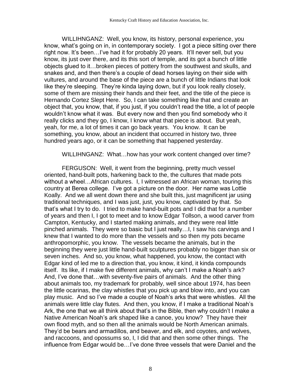WILLIHNGANZ: Well, you know, its history, personal experience, you know, what's going on in, in contemporary society. I got a piece sitting over there right now. It's been…I've had it for probably 20 years. It'll never sell, but you know, its just over there, and its this sort of temple, and its got a bunch of little objects glued to it…broken pieces of pottery from the southwest and skulls, and snakes and, and then there's a couple of dead horses laying on their side with vultures, and around the base of the piece are a bunch of little Indians that look like they're sleeping. They're kinda laying down, but if you look really closely, some of them are missing their hands and their feet, and the title of the piece is Hernando Cortez Slept Here. So, I can take something like that and create an object that, you know, that, if you just, if you couldn't read the title, a lot of people wouldn't know what it was. But every now and then you find somebody who it really clicks and they go, I know, I know what that piece is about. But yeah, yeah, for me, a lot of times it can go back years. You know. It can be something, you know, about an incident that occurred in history two, three hundred years ago, or it can be something that happened yesterday.

WILLIHNGANZ: What…how has your work content changed over time?

FERGUSON: Well, it went from the beginning, pretty much vessel oriented, hand-built pots, harkening back to the, the cultures that made pots without a wheel…African cultures. I, I witnessed an African woman, touring this country at Berea college. I've got a picture on the door. Her name was Lottie Koally. And we all went down there and she built this, just magnificent jar using traditional techniques, and I was just, just, you know, captivated by that. So that's what I try to do. I tried to make hand-built pots and I did that for a number of years and then I, I got to meet and to know Edgar Tollson, a wood carver from Campton, Kentucky, and I started making animals, and they were real little pinched animals. They were so basic but I just really…I, I saw his carvings and I knew that I wanted to do more than the vessels and so then my pots became anthropomorphic, you know. The vessels became the animals, but in the beginning they were just little hand-built sculptures probably no bigger than six or seven inches. And so, you know, what happened, you know, the contact with Edgar kind of led me to a direction that, you know, it kind, it kinda compounds itself. Its like, if I make five different animals, why can't I make a Noah's ark? And, I've done that…with seventy-five pairs of animals. And the other thing about animals too, my trademark for probably, well since about 1974, has been the little ocarinas, the clay whistles that you pick up and blow into, and you can play music. And so I've made a couple of Noah's arks that were whistles. All the animals were little clay flutes. And then, you know, if I make a traditional Noah's Ark, the one that we all think about that's in the Bible, then why couldn't I make a Native American Noah's ark shaped like a canoe, you know? They have their own flood myth, and so then all the animals would be North American animals. They'd be bears and armadillos, and beaver, and elk, and coyotes, and wolves, and raccoons, and opossums so, I, I did that and then some other things. The influence from Edgar would be…I've done three vessels that were Daniel and the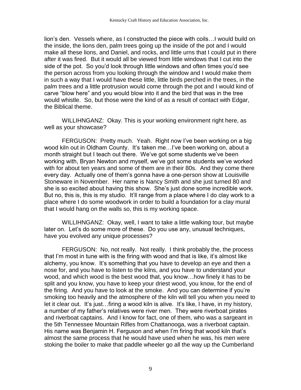lion's den. Vessels where, as I constructed the piece with coils…I would build on the inside, the lions den, palm trees going up the inside of the pot and I would make all these lions, and Daniel, and rocks, and little urns that I could put in there after it was fired. But it would all be viewed from little windows that I cut into the side of the pot. So you'd look through little windows and often times you'd see the person across from you looking through the window and I would make them in such a way that I would have these little, little birds perched in the trees, in the palm trees and a little protrusion would come through the pot and I would kind of carve "blow here" and you would blow into it and the bird that was in the tree would whistle. So, but those were the kind of as a result of contact with Edgar, the Biblical theme.

WILLIHNGANZ: Okay. This is your working environment right here, as well as your showcase?

FERGUSON: Pretty much. Yeah. Right now I've been working on a big wood kiln out in Oldham County. It's taken me…I've been working on, about a month straight but I teach out there. We've got some students we've been working with, Bryan Newton and myself, we've got some students we've worked with for about ten years and some of them are in their 80s. And they come there every day. Actually one of them's gonna have a one-person show at Louisville Stoneware in November. Her name is Nancy Smith and she just turned 80 and she is so excited about having this show. She's just done some incredible work. But no, this is, this is my studio. It'll range from a place where I do clay work to a place where I do some woodwork in order to build a foundation for a clay mural that I would hang on the walls so, this is my working space.

WILLIHNGANZ: Okay, well, I want to take a little walking tour, but maybe later on. Let's do some more of these. Do you use any, unusual techniques, have you evolved any unique processes?

FERGUSON: No, not really. Not really. I think probably the, the process that I'm most in tune with is the firing with wood and that is like, it's almost like alchemy, you know. It's something that you have to develop an eye and then a nose for, and you have to listen to the kilns, and you have to understand your wood, and which wood is the best wood that, you know…how finely it has to be split and you know, you have to keep your driest wood, you know, for the end of the firing. And you have to look at the smoke. And you can determine if you're smoking too heavily and the atmosphere of the kiln will tell you when you need to let it clear out. It's just…firing a wood kiln is alive. It's like, I have, in my history, a number of my father's relatives were river men. They were riverboat pirates and riverboat captains. And I know for fact, one of them, who was a sargeant in the 5th Tennessee Mountain Rifles from Chattanooga, was a riverboat captain. His name was Benjamin H. Ferguson and when I'm firing that wood kiln that's almost the same process that he would have used when he was, his men were stoking the boiler to make that paddle wheeler go all the way up the Cumberland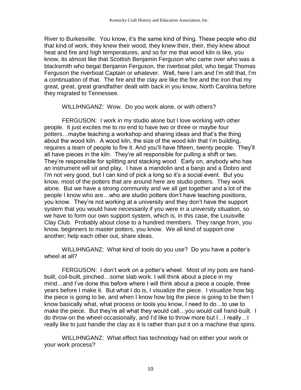River to Burkesville. You know, it's the same kind of thing. These people who did that kind of work, they knew their wood, they knew their, their, they knew about heat and fire and high temperatures, and so for me that wood kiln is like, you know, its almost like that Scottish Benjamin Ferguson who came over who was a blacksmith who begat Benjamin Ferguson, the riverboat pilot, who begat Thomas Ferguson the riverboat Captain or whatever. Well, here I am and I'm still that, I'm a continuation of that. The fire and the clay are like the fire and the iron that my great, great, great grandfather dealt with back in you know, North Carolina before they migrated to Tennessee.

WILLIHNGANZ: Wow. Do you work alone, or with others?

FERGUSON: I work in my studio alone but I love working with other people. It just excites me to no end to have two or three or maybe four potters…maybe teaching a workshop and sharing ideas and that's the thing about the wood kiln. A wood kiln, the size of the wood kiln that I'm building, requires a team of people to fire it. And you'll have fifteen, twenty people. They'll all have pieces in the kiln. They're all responsible for pulling a shift or two. They're responsible for splitting and stacking wood. Early on, anybody who has an instrument will sit and play. I have a mandolin and a banjo and a Dobro and I'm not very good, but I can kind of pick a long so it's a social event. But you know, most of the potters that are around here are studio potters. They work alone. But we have a strong community and we all get together and a lot of the people I know who are…who are studio potters don't have teaching positions, you know. They're not working at a university and they don't have the support system that you would have necessarily if you were in a university situation, so we have to form our own support system, which is, in this case, the Louisville Clay Club. Probably about close to a hundred members. They range from, you know, beginners to master potters, you know. We all kind of support one another; help each other out, share ideas.

WILLIHNGANZ: What kind of tools do you use? Do you have a potter's wheel at all?

FERGUSON: I don't work on a potter's wheel. Most of my pots are handbuilt, coil-built, pinched…some slab work. I will think about a piece in my mind…and I've done this before where I will think about a piece a couple, three years before I make it. But what I do is, I visualize the piece. I visualize how big the piece is going to be, and when I know how big the piece is going to be then I know basically what, what process or tools you know, I need to do…to use to make the piece. But they're all what they would call...you would call hand-built. I do throw on the wheel occasionally, and I'd like to throw more but I…I really…I really like to just handle the clay as it is rather than put it on a machine that spins.

WILLIHNGANZ: What effect has technology had on either your work or your work process?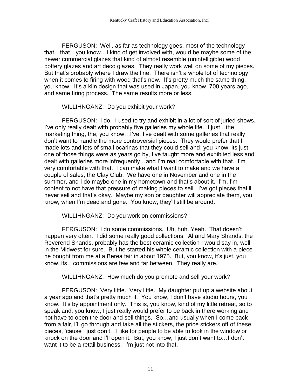FERGUSON: Well, as far as technology goes, most of the technology that…that…you know…I kind of get involved with, would be maybe some of the newer commercial glazes that kind of almost resemble (unintelligible) wood pottery glazes and art deco glazes. They really work well on some of my pieces. But that's probably where I draw the line. There isn't a whole lot of technology when it comes to firing with wood that's new. It's pretty much the same thing, you know. It's a kiln design that was used in Japan, you know, 700 years ago, and same firing process. The same results more or less.

### WILLIHNGANZ: Do you exhibit your work?

FERGUSON: I do. I used to try and exhibit in a lot of sort of juried shows. I've only really dealt with probably five galleries my whole life. I just…the marketing thing, the, you know…I've, I've dealt with some galleries that really don't want to handle the more controversial pieces. They would prefer that I made lots and lots of small ocarinas that they could sell and, you know, its just one of those things were as years go by, I've taught more and exhibited less and dealt with galleries more infrequently…and I'm real comfortable with that. I'm very comfortable with that. I can make what I want to make and we have a couple of sales, the Clay Club. We have one in November and one in the summer, and I do maybe one in my hometown and that's about it. I'm, I'm content to not have that pressure of making pieces to sell. I've got pieces that'll never sell and that's okay. Maybe my son or daughter will appreciate them, you know, when I'm dead and gone. You know, they'll still be around.

#### WILLIHNGANZ: Do you work on commissions?

FERGUSON: I do some commissions. Uh, huh. Yeah. That doesn't happen very often. I did some really good collections. Al and Mary Shands, the Reverend Shands, probably has the best ceramic collection I would say in, well in the Midwest for sure. But he started his whole ceramic collection with a piece he bought from me at a Berea fair in about 1975. But, you know, it's just, you know, its…commissions are few and far between. They really are.

WILLIHNGANZ: How much do you promote and sell your work?

FERGUSON: Very little. Very little. My daughter put up a website about a year ago and that's pretty much it. You know, I don't have studio hours, you know. It's by appointment only. This is, you know, kind of my little retreat, so to speak and, you know, I just really would prefer to be back in there working and not have to open the door and sell things. So…and usually when I come back from a fair, I'll go through and take all the stickers, the price stickers off of these pieces, 'cause I just don't…I like for people to be able to look in the window or knock on the door and I'll open it. But, you know, I just don't want to…I don't want it to be a retail business. I'm just not into that.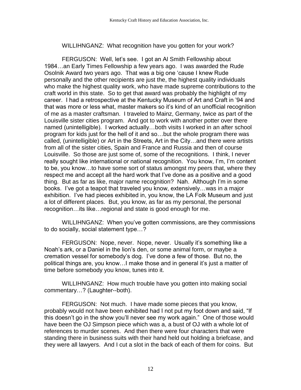# WILLIHNGANZ: What recognition have you gotten for your work?

FERGUSON: Well, let's see. I got an Al Smith Fellowship about 1984…an Early Times Fellowship a few years ago. I was awarded the Rude Osolnik Award two years ago. That was a big one 'cause I knew Rude personally and the other recipients are just the, the highest quality individuals who make the highest quality work, who have made supreme contributions to the craft world in this state. So to get that award was probably the highlight of my career. I had a retrospective at the Kentucky Museum of Art and Craft in '94 and that was more or less what, master makers so it's kind of an unofficial recognition of me as a master craftsman. I traveled to Mainz, Germany, twice as part of the Louisville sister cities program. And got to work with another potter over there named (unintelligible). I worked actually…both visits I worked in an after school program for kids just for the hell of it and so…but the whole program there was called, (unintelligible) or Art in the Streets, Art in the City…and there were artists from all of the sister cities, Spain and France and Russia and then of course Louisville. So those are just some of, some of the recognitions. I think, I never really sought like international or national recognition. You know, I'm, I'm content to be, you know…to have some sort of status amongst my peers that, where they respect me and accept all the hard work that I've done as a positive and a good thing. But as far as like, major name recognition? Nah. Although I'm in some books. I've got a teapot that traveled you know, extensively…was in a major exhibition. I've had pieces exhibited in, you know, the LA Folk Museum and just a lot of different places. But, you know, as far as my personal, the personal recognition…its like…regional and state is good enough for me.

WILLIHNGANZ: When you've gotten commissions, are they commissions to do socially, social statement type…?

FERGUSON: Nope, never. Nope, never. Usually it's something like a Noah's ark, or a Daniel in the lion's den, or some animal form, or maybe a cremation vessel for somebody's dog. I've done a few of those. But no, the political things are, you know…I make those and in general it's just a matter of time before somebody you know, tunes into it.

WILLIHNGANZ: How much trouble have you gotten into making social commentary…? (Laughter--both).

FERGUSON: Not much. I have made some pieces that you know, probably would not have been exhibited had I not put my foot down and said, "If this doesn't go in the show you'll never see my work again." One of those would have been the OJ Simpson piece which was a, a bust of OJ with a whole lot of references to murder scenes. And then there were four characters that were standing there in business suits with their hand held out holding a briefcase, and they were all lawyers. And I cut a slot in the back of each of them for coins. But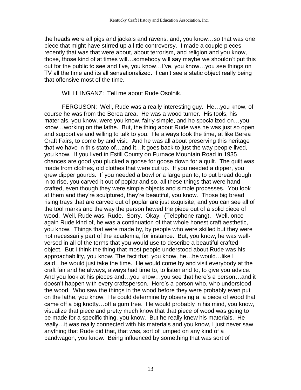the heads were all pigs and jackals and ravens, and, you know…so that was one piece that might have stirred up a little controversy. I made a couple pieces recently that was that were about, about terrorism, and religion and you know, those, those kind of at times will…somebody will say maybe we shouldn't put this out for the public to see and I've, you know…I've, you know…you see things on TV all the time and its all sensationalized. I can't see a static object really being that offensive most of the time.

WILLIHNGANZ: Tell me about Rude Osolnik.

FERGUSON: Well, Rude was a really interesting guy. He…you know, of course he was from the Berea area. He was a wood turner. His tools, his materials, you know, were you know, fairly simple, and he specialized on…you know…working on the lathe. But, the thing about Rude was he was just so open and supportive and willing to talk to you. He always took the time, at like Berea Craft Fairs, to come by and visit. And he was all about preserving this heritage that we have in this state of…and it…it goes back to just the way people lived, you know. If you lived in Estill County on Furnace Mountain Road in 1935, chances are good you plucked a goose for goose down for a quilt. The quilt was made from clothes, old clothes that were cut up. If you needed a dipper, you grew dipper gourds. If you needed a bowl or a large pan to, to put bread dough in to rise, you carved it out of poplar and so, all these things that were handcrafted, even though they were simple objects and simple processes. You look at them and they're sculptured, they're beautiful, you know. Those big bread rising trays that are carved out of poplar are just exquisite, and you can see all of the tool marks and the way the person hewed the piece out of a solid piece of wood. Well, Rude was, Rude. Sorry. Okay. (Telephone rang). Well, once again Rude kind of, he was a continuation of that whole honest craft aesthetic, you know. Things that were made by, by people who were skilled but they were not necessarily part of the academia, for instance. But, you know, he was wellversed in all of the terms that you would use to describe a beautiful crafted object. But I think the thing that most people understood about Rude was his approachability, you know. The fact that, you know, he…he would…like I said…he would just take the time. He would come by and visit everybody at the craft fair and he always, always had time to, to listen and to, to give you advice. And you look at his pieces and…you know…you see that here's a person…and it doesn't happen with every craftsperson. Here's a person who, who understood the wood. Who saw the things in the wood before they were probably even put on the lathe, you know. He could determine by observing a, a piece of wood that came off a big knotty…off a gum tree. He would probably in his mind, you know, visualize that piece and pretty much know that that piece of wood was going to be made for a specific thing, you know. But he really knew his materials. He really…it was really connected with his materials and you know, I just never saw anything that Rude did that, that was, sort of jumped on any kind of a bandwagon, you know. Being influenced by something that was sort of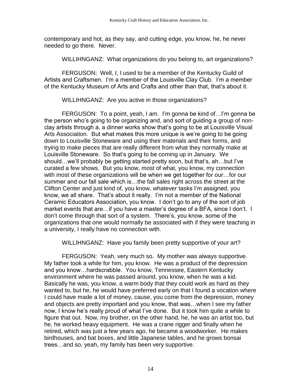contemporary and hot, as they say, and cutting edge, you know, he, he never needed to go there. Never.

WILLIHNGANZ: What organizations do you belong to, art organizations?

FERGUSON: Well, I, I used to be a member of the Kentucky Guild of Artists and Craftsmen. I'm a member of the Louisville Clay Club. I'm a member of the Kentucky Museum of Arts and Crafts and other than that, that's about it.

WILLIHNGANZ: Are you active in those organizations?

FERGUSON: To a point, yeah, I am. I'm gonna be kind of…I'm gonna be the person who's going to be organizing and, and sort of guiding a group of nonclay artists through a, a dinner works show that's going to be at Louisville Visual Arts Association. But what makes this more unique is we're going to be going down to Louisville Stoneware and using their materials and their forms, and trying to make pieces that are really different from what they normally make at Louisville Stoneware. So that's going to be coming up in January. We should…we'll probably be getting started pretty soon, but that's, ah…but I've curated a few shows. But you know, most of what, you know, my connection with most of these organizations will be when we get together for our…for our summer and our fall sale which is…the fall sales right across the street at the Clifton Center and just kind of, you know, whatever tasks I'm assigned, you know, we all share. That's about it really. I'm not a member of the National Ceramic Educators Association, you know. I don't go to any of the sort of job market events that are…if you have a master's degree of a BFA, since I don't. I don't come through that sort of a system. There's, you know, some of the organizations that one would normally be associated with if they were teaching in a university, I really have no connection with.

WILLIHNGANZ: Have you family been pretty supportive of your art?

FERGUSON: Yeah, very much so. My mother was always supportive. My father took a while for him, you know. He was a product of the depression and you know…hardscrabble. You know, Tennessee, Eastern Kentucky environment where he was passed around, you know, when he was a kid. Basically he was, you know, a warm body that they could work as hard as they wanted to, but he, he would have preferred early on that I found a vocation where I could have made a lot of money, cause, you come from the depression, money and objects are pretty important and you know, that was…when I see my father now, I know he's really proud of what I've done. But it took him quite a while to figure that out. Now, my brother, on the other hand, he, he was an artist too, but he, he worked heavy equipment. He was a crane rigger and finally when he retired, which was just a few years ago, he became a woodworker. He makes birdhouses, and bat boxes, and little Japanese tables, and he grows bonsai trees…and so, yeah, my family has been very supportive.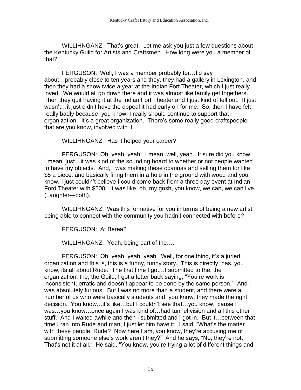WILLIHNGANZ: That's great. Let me ask you just a few questions about the Kentucky Guild for Artists and Craftsmen. How long were you a member of that?

FERGUSON: Well, I was a member probably for…I'd say about…probably close to ten years and they, they had a gallery in Lexington, and then they had a show twice a year at the Indian Fort Theater, which I just really loved. We would all go down there and it was almost like family get togethers. Then they quit having it at the Indian Fort Theater and I just kind of fell out. It just wasn't…it just didn't have the appeal it had early on for me. So, then I have felt really badly because, you know, I really should continue to support that organization. It's a great organization. There's some really good craftspeople that are you know, involved with it.

WILLIHNGANZ: Has it helped your career?

FERGUSON: Oh, yeah, yeah. I mean, well, yeah. It sure did you know. I mean, just…it was kind of the sounding board to whether or not people wanted to have my objects. And, I was making these ocarinas and selling them for like \$5 a piece, and basically firing them in a hole in the ground with wood and you know, I just couldn't believe I could come back from a three day event at Indian Ford Theater with \$500. It was like, oh, my gosh, you know, we can, we can live. (Laughter—both).

WILLIHNGANZ: Was this formative for you in terms of being a new artist, being able to connect with the community you hadn't connected with before?

FERGUSON: At Berea?

WILLIHNGANZ: Yeah, being part of the….

FERGUSON: Oh, yeah, yeah, yeah. Well, for one thing, it's a juried organization and this is, this is a funny, funny story. This is directly, has, you know, its all about Rude. The first time I got…I submitted to the, the organization, the, the Guild, I got a letter back saying, "You're work is inconsistent, erratic and doesn't appear to be done by the same person." And I was absolutely furious. But I was no more than a student, and there were a number of us who were basically students and, you know, they made the right decision. You know…it's like…but I couldn't see that…you know, 'cause I was…you know…once again I was kind of…had tunnel vision and all this other stuff. And I waited awhile and then I submitted and I got in. But it…between that time I ran into Rude and man, I just let him have it. I said, "What's the matter with these people, Rude? Now here I am, you know, they're accusing me of submitting someone else's work aren't they?" And he says, "No, they're not. That's not it at all." He said, "You know, you're trying a lot of different things and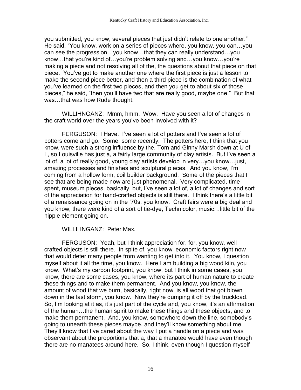you submitted, you know, several pieces that just didn't relate to one another." He said, "You know, work on a series of pieces where, you know, you can…you can see the progression…you know…that they can really understand…you know…that you're kind of…you're problem solving and…you know…you're making a piece and not resolving all of the, the questions about that piece on that piece. You've got to make another one where the first piece is just a lesson to make the second piece better, and then a third piece is the combination of what you've learned on the first two pieces, and then you get to about six of those pieces," he said, "then you'll have two that are really good, maybe one." But that was…that was how Rude thought.

WILLIHNGANZ: Mmm, hmm. Wow. Have you seen a lot of changes in the craft world over the years you've been involved with it?

FERGUSON: I Have. I've seen a lot of potters and I've seen a lot of potters come and go. Some, some recently. The potters here, I think that you know, were such a strong influence by the, Tom and Ginny Marsh down at U of L, so Louisville has just a, a fairly large community of clay artists. But I've seen a lot of, a lot of really good, young clay artists develop in very…you know…just, amazing processes and finishes and sculptural pieces. And you know, I'm coming from a hollow form, coil builder background. Some of the pieces that I see that are being made now are just phenomenal. Very complicated, time spent, museum pieces, basically, but, I've seen a lot of, a lot of changes and sort of the appreciation for hand-crafted objects is still there. I think there's a little bit of a renaissance going on in the '70s, you know. Craft fairs were a big deal and you know, there were kind of a sort of tie-dye, Technicolor, music…little bit of the hippie element going on.

WILLIHNGANZ: Peter Max.

FERGUSON: Yeah, but I think appreciation for, for, you know, wellcrafted objects is still there. In spite of, you know, economic factors right now that would deter many people from wanting to get into it. You know, I question myself about it all the time, you know. Here I am building a big wood kiln, you know. What's my carbon footprint, you know, but I think in some cases, you know, there are some cases, you know, where its part of human nature to create these things and to make them permanent. And you know, you know, the amount of wood that we burn, basically, right now, is all wood that got blown down in the last storm, you know. Now they're dumping it off by the truckload. So, I'm looking at it as, it's just part of the cycle and, you know, it's an affirmation of the human…the human spirit to make these things and these objects, and to make them permanent. And, you know, somewhere down the line, somebody's going to unearth these pieces maybe, and they'll know something about me. They'll know that I've cared about the way I put a handle on a piece and was observant about the proportions that a, that a manatee would have even though there are no manatees around here. So, I think, even though I question myself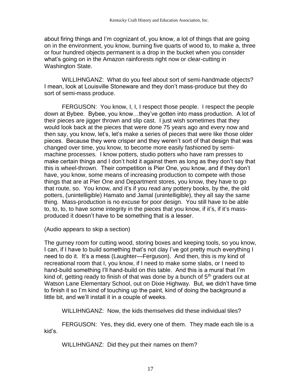about firing things and I'm cognizant of, you know, a lot of things that are going on in the environment, you know, burning five quarts of wood to, to make a, three or four hundred objects permanent is a drop in the bucket when you consider what's going on in the Amazon rainforests right now or clear-cutting in Washington State.

WILLIHNGANZ: What do you feel about sort of semi-handmade objects? I mean, look at Louisville Stoneware and they don't mass-produce but they do sort of semi-mass produce.

FERGUSON: You know, I, I, I respect those people. I respect the people down at Bybee. Bybee, you know…they've gotten into mass production. A lot of their pieces are jigger thrown and slip cast. I just wish sometimes that they would look back at the pieces that were done 75 years ago and every now and then say, you know, let's, let's make a series of pieces that were like those older pieces. Because they were crisper and they weren't sort of that design that was changed over time, you know, to become more easily fashioned by semimachine processes. I know potters, studio potters who have ram presses to make certain things and I don't hold it against them as long as they don't say that this is wheel-thrown. Their competition is Pier One, you know, and if they don't have, you know, some means of increasing production to compete with those things that are at Pier One and Department stores, you know, they have to go that route, so. You know, and it's if you read any pottery books, by the, the old potters, (unintelligible) Hamato and Jamal (unintelligible), they all say the same thing. Mass-production is no excuse for poor design. You still have to be able to, to, to, to have some integrity in the pieces that you know, if it's, if it's massproduced it doesn't have to be something that is a lesser.

(Audio appears to skip a section)

The gurney room for cutting wood, storing boxes and keeping tools, so you know, I can, if I have to build something that's not clay I've got pretty much everything I need to do it. It's a mess (Laughter—Ferguson). And then, this is my kind of recreational room that I, you know, if I need to make some slabs, or I need to hand-build something I'll hand-build on this table. And this is a mural that I'm kind of, getting ready to finish of that was done by a bunch of  $5<sup>th</sup>$  graders out at Watson Lane Elementary School, out on Dixie Highway. But, we didn't have time to finish it so I'm kind of touching up the paint, kind of doing the background a little bit, and we'll install it in a couple of weeks.

WILLIHNGANZ: Now, the kids themselves did these individual tiles?

FERGUSON: Yes, they did, every one of them. They made each tile is a kid's.

WILLIHNGANZ: Did they put their names on them?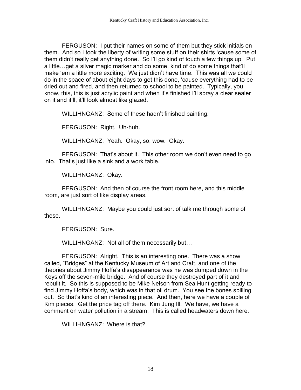FERGUSON: I put their names on some of them but they stick initials on them. And so I took the liberty of writing some stuff on their shirts 'cause some of them didn't really get anything done. So I'll go kind of touch a few things up. Put a little…get a silver magic marker and do some, kind of do some things that'll make 'em a little more exciting. We just didn't have time. This was all we could do in the space of about eight days to get this done, 'cause everything had to be dried out and fired, and then returned to school to be painted. Typically, you know, this, this is just acrylic paint and when it's finished I'll spray a clear sealer on it and it'll, it'll look almost like glazed.

WILLIHNGANZ: Some of these hadn't finished painting.

FERGUSON: Right. Uh-huh.

WILLIHNGANZ: Yeah. Okay, so, wow. Okay.

FERGUSON: That's about it. This other room we don't even need to go into. That's just like a sink and a work table.

WILLIHNGANZ: Okay.

FERGUSON: And then of course the front room here, and this middle room, are just sort of like display areas.

WILLIHNGANZ: Maybe you could just sort of talk me through some of these.

FERGUSON: Sure.

WILLIHNGANZ: Not all of them necessarily but…

FERGUSON: Alright. This is an interesting one. There was a show called, "Bridges" at the Kentucky Museum of Art and Craft, and one of the theories about Jimmy Hoffa's disappearance was he was dumped down in the Keys off the seven-mile bridge. And of course they destroyed part of it and rebuilt it. So this is supposed to be Mike Nelson from Sea Hunt getting ready to find Jimmy Hoffa's body, which was in that oil drum. You see the bones spilling out. So that's kind of an interesting piece. And then, here we have a couple of Kim pieces. Get the price tag off there. Kim Jung Ill. We have, we have a comment on water pollution in a stream. This is called headwaters down here.

WILLIHNGANZ: Where is that?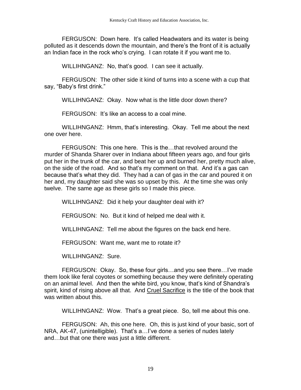FERGUSON: Down here. It's called Headwaters and its water is being polluted as it descends down the mountain, and there's the front of it is actually an Indian face in the rock who's crying. I can rotate it if you want me to.

WILLIHNGANZ: No, that's good. I can see it actually.

FERGUSON: The other side it kind of turns into a scene with a cup that say, "Baby's first drink."

WILLIHNGANZ: Okay. Now what is the little door down there?

FERGUSON: It's like an access to a coal mine.

WILLIHNGANZ: Hmm, that's interesting. Okay. Tell me about the next one over here.

FERGUSON: This one here. This is the…that revolved around the murder of Shanda Sharer over in Indiana about fifteen years ago, and four girls put her in the trunk of the car, and beat her up and burned her, pretty much alive, on the side of the road. And so that's my comment on that. And it's a gas can because that's what they did. They had a can of gas in the car and poured it on her and, my daughter said she was so upset by this. At the time she was only twelve. The same age as these girls so I made this piece.

WILLIHNGANZ: Did it help your daughter deal with it?

FERGUSON: No. But it kind of helped me deal with it.

WILLIHNGANZ: Tell me about the figures on the back end here.

FERGUSON: Want me, want me to rotate it?

WILLIHNGANZ: Sure.

FERGUSON: Okay. So, these four girls…and you see there…I've made them look like feral coyotes or something because they were definitely operating on an animal level. And then the white bird, you know, that's kind of Shandra's spirit, kind of rising above all that. And Cruel Sacrifice is the title of the book that was written about this.

WILLIHNGANZ: Wow. That's a great piece. So, tell me about this one.

FERGUSON: Ah, this one here. Oh, this is just kind of your basic, sort of NRA, AK-47, (unintelligible). That's a…I've done a series of nudes lately and…but that one there was just a little different.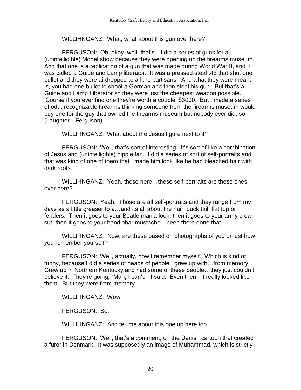# WILLIHNGANZ: What, what about this gun over here?

FERGUSON: Oh, okay, well, that's…I did a series of guns for a (unintelligible) Model show because they were opening up the firearms museum. And that one is a replication of a gun that was made during World War II, and it was called a Guide and Lamp liberator. It was a pressed steal .45 that shot one bullet and they were airdropped to all the partisans. And what they were meant is, you had one bullet to shoot a German and then steal his gun. But that's a Guide and Lamp Liberator so they were just the cheapest weapon possible. 'Course if you ever find one they're worth a couple, \$3000. But I made a series of odd, recognizable firearms thinking someone from the firearms museum would buy one for the guy that owned the firearms museum but nobody ever did, so (Laughter—Ferguson).

WILLIHNGANZ: What about the Jesus figure next to it?

FERGUSON: Well, that's sort of interesting. It's sort of like a combination of Jesus and (unintelligible) hippie fan. I did a series of sort of self-portraits and that was kind of one of them that I made him look like he had bleached hair with dark roots.

WILLIHNGANZ: Yeah, these here…these self-portraits are these ones over here?

FERGUSON: Yeah. Those are all self-portraits and they range from my days as a little greaser to a…and its all about the hair, duck tail, flat top or fenders. Then it goes to your Beatle mania look, then it goes to your army crew cut, then it goes to your handlebar mustache…been there done that.

WILLIHNGANZ: Now, are these based on photographs of you or just how you remember yourself?

FERGUSON: Well, actually, how I remember myself. Which is kind of funny, because I did a series of heads of people I grew up with…from memory. Grew up in Northern Kentucky and had some of these people…they just couldn't believe it. They're going, "Man, I can't." I said. Even then. It really looked like them. But they were from memory.

WILLIHNGANZ: Wow.

FERGUSON: So.

WILLIHNGANZ: And tell me about this one up here too.

FERGUSON: Well, that's a comment, on the Danish cartoon that created a furor in Denmark. It was supposedly an image of Muhammad, which is strictly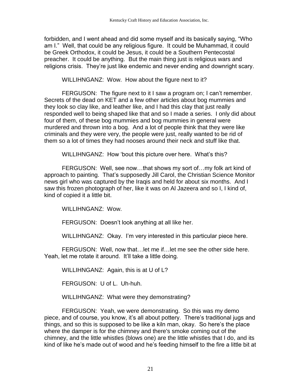forbidden, and I went ahead and did some myself and its basically saying, "Who am I." Well, that could be any religious figure. It could be Muhammad, it could be Greek Orthodox, it could be Jesus, it could be a Southern Pentecostal preacher. It could be anything. But the main thing just is religious wars and religions crisis. They're just like endemic and never ending and downright scary.

WILLIHNGANZ: Wow. How about the figure next to it?

FERGUSON: The figure next to it I saw a program on; I can't remember. Secrets of the dead on KET and a few other articles about bog mummies and they look so clay like, and leather like, and I had this clay that just really responded well to being shaped like that and so I made a series. I only did about four of them, of these bog mummies and bog mummies in general were murdered and thrown into a bog. And a lot of people think that they were like criminals and they were very, the people were just, really wanted to be rid of them so a lot of times they had nooses around their neck and stuff like that.

WILLIHNGANZ: How 'bout this picture over here. What's this?

FERGUSON: Well, see now…that shows my sort of…my folk art kind of approach to painting. That's supposedly Jill Carol, the Christian Science Monitor news girl who was captured by the Iraqis and held for about six months. And I saw this frozen photograph of her, like it was on Al Jazeera and so I, I kind of, kind of copied it a little bit.

WILLIHNGANZ: Wow.

FERGUSON: Doesn't look anything at all like her.

WILLIHNGANZ: Okay. I'm very interested in this particular piece here.

FERGUSON: Well, now that…let me if…let me see the other side here. Yeah, let me rotate it around. It'll take a little doing.

WILLIHNGANZ: Again, this is at U of L?

FERGUSON: U of L. Uh-huh.

WILLIHNGANZ: What were they demonstrating?

FERGUSON: Yeah, we were demonstrating. So this was my demo piece, and of course, you know, it's all about pottery. There's traditional jugs and things, and so this is supposed to be like a kiln man, okay. So here's the place where the damper is for the chimney and there's smoke coming out of the chimney, and the little whistles (blows one) are the little whistles that I do, and its kind of like he's made out of wood and he's feeding himself to the fire a little bit at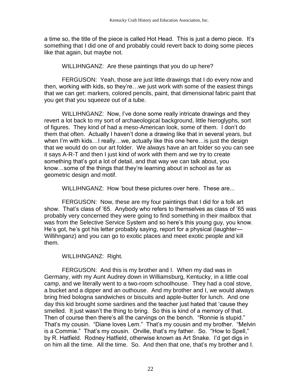a time so, the title of the piece is called Hot Head. This is just a demo piece. It's something that I did one of and probably could revert back to doing some pieces like that again, but maybe not.

WILLIHNGANZ: Are these paintings that you do up here?

FERGUSON: Yeah, those are just little drawings that I do every now and then, working with kids, so they're…we just work with some of the easiest things that we can get: markers, colored pencils, paint, that dimensional fabric paint that you get that you squeeze out of a tube.

WILLIHNGANZ: Now, I've done some really intricate drawings and they revert a lot back to my sort of archaeological background, little hieroglyphs, sort of figures. They kind of had a meso-American look, some of them. I don't do them that often. Actually I haven't done a drawing like that in several years, but when I'm with kids…I really…we, actually like this one here…is just the design that we would do on our art folder. We always have an art folder so you can see it says A-R-T and then I just kind of work with them and we try to create something that's got a lot of detail, and that way we can talk about, you know…some of the things that they're learning about in school as far as geometric design and motif.

WILLIHNGANZ: How 'bout these pictures over here. These are...

FERGUSON: Now, these are my four paintings that I did for a folk art show. That's class of '65. Anybody who refers to themselves as class of '65 was probably very concerned they were going to find something in their mailbox that was from the Selective Service System and so here's this young guy, you know. He's got, he's got his letter probably saying, report for a physical (laughter— Willihnganz) and you can go to exotic places and meet exotic people and kill them.

WILLIHNGANZ: Right.

FERGUSON: And this is my brother and I. When my dad was in Germany, with my Aunt Audrey down in Williamsburg, Kentucky, in a little coal camp, and we literally went to a two-room schoolhouse. They had a coal stove, a bucket and a dipper and an outhouse. And my brother and I, we would always bring fried bologna sandwiches or biscuits and apple-butter for lunch. And one day this kid brought some sardines and the teacher just hated that 'cause they smelled. It just wasn't the thing to bring. So this is kind of a memory of that. Then of course then there's all the carvings on the bench. "Ronnie is stupid." That's my cousin. "Diane loves Lem." That's my cousin and my brother. "Melvin is a Commie." That's my cousin. Orville, that's my father. So. "How to Spell," by R. Hatfield. Rodney Hatfield, otherwise known as Art Snake. I'd get digs in on him all the time. All the time. So. And then that one, that's my brother and I.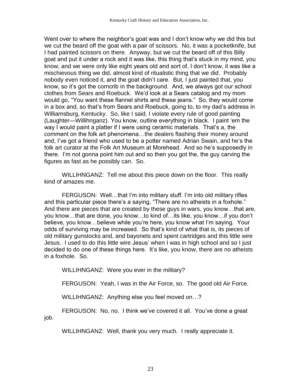Went over to where the neighbor's goat was and I don't know why we did this but we cut the beard off the goat with a pair of scissors. No, it was a pocketknife, but I had painted scissors on there. Anyway, but we cut the beard off of this Billy goat and put it under a rock and it was like, this thing that's stuck in my mind, you know, and we were only like eight years old and sort of, I don't know, it was like a mischievous thing we did, almost kind of ritualistic thing that we did. Probably nobody even noticed it, and the goat didn't care. But, I just painted that, you know, so it's got the corncrib in the background. And, we always got our school clothes from Sears and Roebuck. We'd look at a Sears catalog and my mom would go, "You want these flannel shirts and these jeans." So, they would come in a box and, so that's from Sears and Roebuck, going to, to my dad's address in Williamsburg, Kentucky. So, like I said, I violate every rule of good painting (Laughter—Willihnganz). You know, outline everything in black. I paint 'em the way I would paint a platter if I were using ceramic materials. That's a, the comment on the folk art phenomena…the dealers flashing their money around and, I've got a friend who used to be a potter named Adrian Swain, and he's the folk art curator at the Folk Art Museum at Morehead. And so he's supposedly in there. I'm not gonna point him out and so then you got the, the guy carving the figures as fast as he possibly can. So.

WILLIHNGANZ: Tell me about this piece down on the floor. This really kind of amazes me.

FERGUSON: Well…that I'm into military stuff. I'm into old military rifles and this particular piece there's a saying, "There are no atheists in a foxhole." And there are pieces that are created by these guys in wars, you know…that are, you know…that are done, you know…to kind of…its like, you know…if you don't believe, you know…believe while you're here, you know what I'm saying. Your odds of surviving may be increased. So that's kind of what that is, its pieces of old military gunstocks and, and bayonets and spent cartridges and this little wire Jesus. I used to do this little wire Jesus' when I was in high school and so I just decided to do one of these things here. It's like, you know, there are no atheists in a foxhole. So.

WILLIHNGANZ: Were you ever in the military?

FERGUSON: Yeah, I was in the Air Force, so. The good old Air Force.

WILLIHNGANZ: Anything else you feel moved on…?

FERGUSON: No, no. I think we've covered it all. You've done a great job.

WILLIHNGANZ: Well, thank you very much. I really appreciate it.